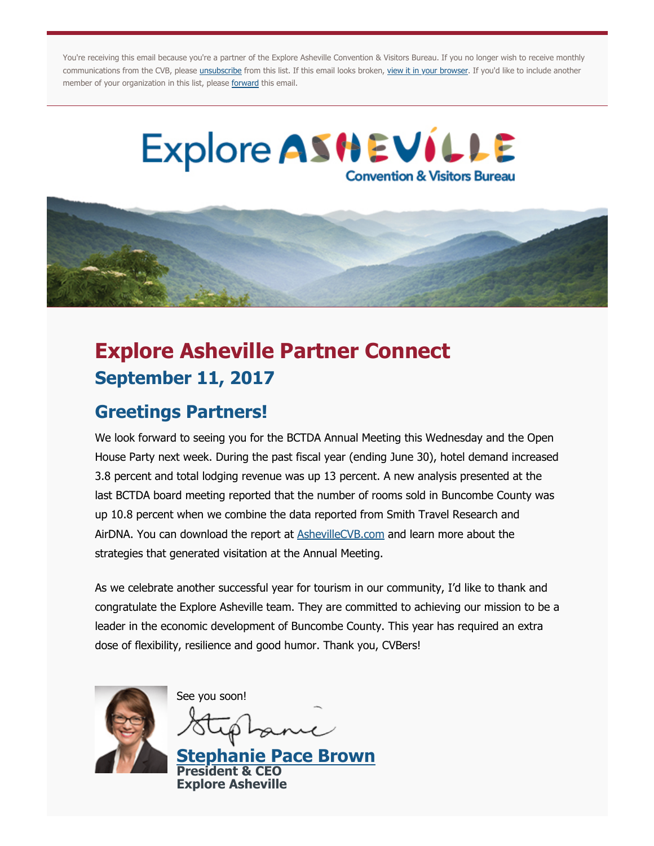You're receiving this email because you're a partner of the Explore Asheville Convention & Visitors Bureau. If you no longer wish to receive monthly communications from the CVB, please *[unsubscribe](http://asheville.dmplocal.com/main/index.php?action=t&tag=Unsubscribe&id=1533&viewers_email=pkappes@exploreasheville.com&dest=http%3A%2F%2Fasheville.dmplocal.com%2Fmain%2Findex.php%3Faction%3Dunsubscribe%26id%3D1533%26viewers_email%3Dpkappes@exploreasheville.com)* from this list. If this email looks broken, view it in your browser</u>. If you'd like to include another member of your organization in this list, please [forward](http://asheville.dmplocal.com/main/index.php?action=t&tag=Forward&id=1533&viewers_email=pkappes@exploreasheville.com&dest=http%3A%2F%2Fasheville.dmplocal.com%2Fmain%2Findex.php%3Fp%3Demail.forward_to_friend%26id%3D1533%26email%3Dpkappes@exploreasheville.com%26dt%3D1) this email.

# Explore ASHEVILLE **Convention & Visitors Bureau**



# **Explore Asheville Partner Connect September 11, 2017**

## **Greetings Partners!**

We look forward to seeing you for the BCTDA Annual Meeting this Wednesday and the Open House Party next week. During the past fiscal year (ending June 30), hotel demand increased 3.8 percent and total lodging revenue was up 13 percent. A new analysis presented at the last BCTDA board meeting reported that the number of rooms sold in Buncombe County was up 10.8 percent when we combine the data reported from Smith Travel Research and AirDNA. You can download the report at **[AshevilleCVB.com](http://asheville.dmplocal.com/main/index.php?action=t&tag=AshevilleCVB.com&id=1533&viewers_email=pkappes@exploreasheville.com&dest=http%3A%2F%2Fwww.ashevillecvb.com%2Fevent%2Fbctda-board-meeting-august-2017%2F)** and learn more about the strategies that generated visitation at the Annual Meeting.

As we celebrate another successful year for tourism in our community, I'd like to thank and congratulate the Explore Asheville team. They are committed to achieving our mission to be a leader in the economic development of Buncombe County. This year has required an extra dose of flexibility, resilience and good humor. Thank you, CVBers!



See you soon!

**e Pace Brown President & CEO Explore Asheville**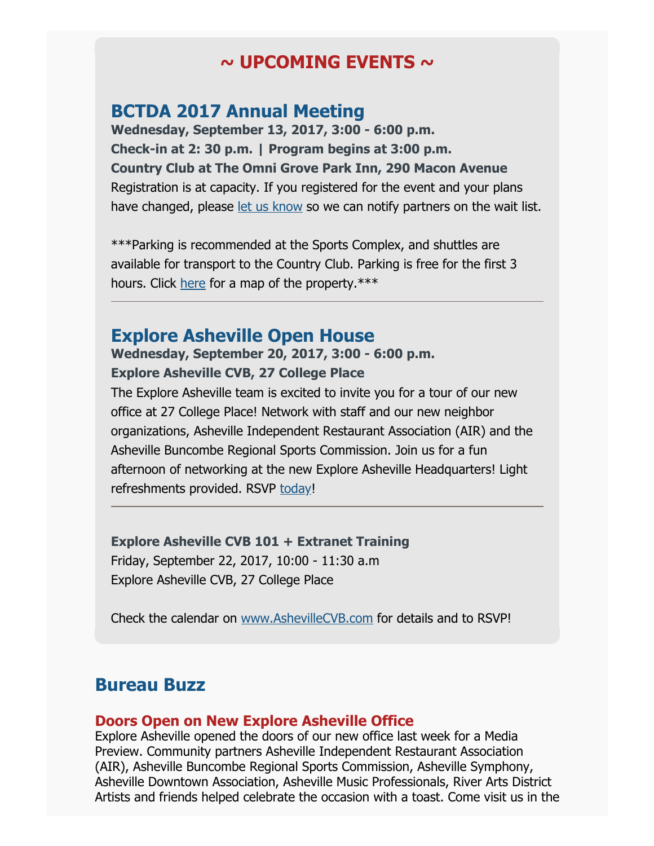## **~ UPCOMING EVENTS ~**

### **BCTDA 2017 Annual Meeting**

**Wednesday, September 13, 2017, 3:00 - 6:00 p.m. Check-in at 2: 30 p.m. | Program begins at 3:00 p.m. Country Club at The Omni Grove Park Inn, 290 Macon Avenue**  Registration is at capacity. If you registered for the event and your plans have changed, please [let us know](mailto:pkappes@exploreasheville.com) so we can notify partners on the wait list.

\*\*\*Parking is recommended at the Sports Complex, and shuttles are available for transport to the Country Club. Parking is free for the first 3 hours. Click [here](http://asheville.dmplocal.com/main/index.php?action=t&tag=here&id=1533&viewers_email=pkappes@exploreasheville.com&dest=http%3A%2F%2Fwww.ashevillecvb.com%2Fwp-content%2Fuploads%2FCVB-event-Parking-Map.pdf) for a map of the property.\*\*\*

### **Explore Asheville Open House**

#### **Wednesday, September 20, 2017, 3:00 - 6:00 p.m. Explore Asheville CVB, 27 College Place**

The Explore Asheville team is excited to invite you for a tour of our new office at 27 College Place! Network with staff and our new neighbor organizations, Asheville Independent Restaurant Association (AIR) and the Asheville Buncombe Regional Sports Commission. Join us for a fun afternoon of networking at the new Explore Asheville Headquarters! Light refreshments provided. RSVP [today!](http://asheville.dmplocal.com/main/index.php?action=t&tag=http%3A%2F%2Fwww.ashevillecvb.com%2Fevent%2Fexplore-asheville-open-house%2F&id=1533&viewers_email=pkappes@exploreasheville.com&dest=http%3A%2F%2Fwww.ashevillecvb.com%2Fevent%2Fexplore-asheville-open-house%2F)

#### **Explore Asheville CVB 101 + Extranet Training**

Friday, September 22, 2017, 10:00 - 11:30 a.m Explore Asheville CVB, 27 College Place

Check the calendar on [www.AshevilleCVB.com](http://asheville.dmplocal.com/main/index.php?action=t&tag=http%3A%2F%2Fwww.ashevillecvb.com%2Fupcoming-events%2F&id=1533&viewers_email=pkappes@exploreasheville.com&dest=http%3A%2F%2Fwww.ashevillecvb.com%2Fupcoming-events%2F) for details and to RSVP!

## **Bureau Buzz**

#### **Doors Open on New Explore Asheville Office**

Explore Asheville opened the doors of our new office last week for a Media Preview. Community partners Asheville Independent Restaurant Association (AIR), Asheville Buncombe Regional Sports Commission, Asheville Symphony, Asheville Downtown Association, Asheville Music Professionals, River Arts District Artists and friends helped celebrate the occasion with a toast. Come visit us in the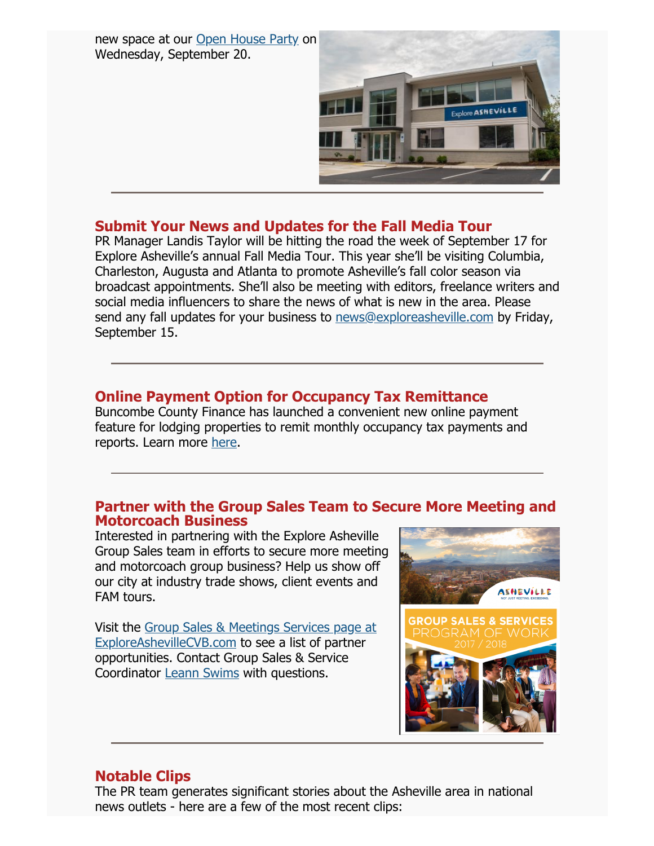new space at our [Open House Party](http://asheville.dmplocal.com/main/index.php?action=t&tag=http%3A%2F%2Fwww.ashevillecvb.com%2Fevent%2Fexplore-asheville-open-house%2F&id=1533&viewers_email=pkappes@exploreasheville.com&dest=http%3A%2F%2Fwww.ashevillecvb.com%2Fevent%2Fexplore-asheville-open-house%2F) on Wednesday, September 20.



#### **Submit Your News and Updates for the Fall Media Tour**

PR Manager Landis Taylor will be hitting the road the week of September 17 for Explore Asheville's annual Fall Media Tour. This year she'll be visiting Columbia, Charleston, Augusta and Atlanta to promote Asheville's fall color season via broadcast appointments. She'll also be meeting with editors, freelance writers and social media influencers to share the news of what is new in the area. Please send any fall updates for your business to [news@exploreasheville.com](mailto:news@exploreasheville.com) by Friday, September 15.

#### **Online Payment Option for Occupancy Tax Remittance**

Buncombe County Finance has launched a convenient new online payment feature for lodging properties to remit monthly occupancy tax payments and reports. Learn more [here.](http://asheville.dmplocal.com/main/index.php?action=t&tag=http%3A%2F%2Fwww.buncombecounty.org%2Fgoverning%2Fdepts%2Fadministration%2Ffinance%2FOccupancyTax.aspx&id=1533&viewers_email=pkappes@exploreasheville.com&dest=http%3A%2F%2Fwww.buncombecounty.org%2Fgoverning%2Fdepts%2Fadministration%2Ffinance%2FOccupancyTax.aspx)

#### **Partner with the Group Sales Team to Secure More Meeting and Motorcoach Business**

Interested in partnering with the Explore Asheville Group Sales team in efforts to secure more meeting and motorcoach group business? Help us show off our city at industry trade shows, client events and FAM tours.

[Visit the Group Sales & Meetings Services page at](http://asheville.dmplocal.com/main/index.php?action=t&tag=full+page+ad&id=1533&viewers_email=pkappes@exploreasheville.com&dest=http%3A%2F%2Fwww.ashevillecvb.com%2Fgroup-sales-and-services%2F) ExploreAshevilleCVB.com to see a list of partner opportunities. Contact Group Sales & Service Coordinator [Leann Swims](mailto:lswims@exploreasheville.com) with questions.



#### **Notable Clips**

The PR team generates significant stories about the Asheville area in national news outlets - here are a few of the most recent clips: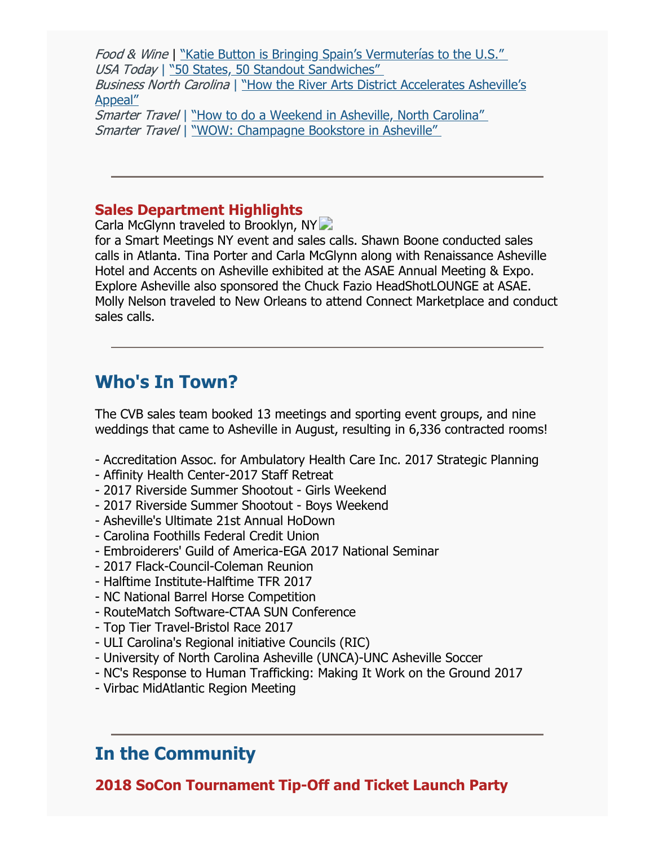Food & Wine | "Katie Button is Bringing Spain's Vermuterías to the U.S." USA Today | "50 States, 50 Standout Sandwiches" Business North Carolina [| "How the River Arts District Accelerates Asheville's](http://asheville.dmplocal.com/main/index.php?action=t&tag=%26ldquo%3BHow+the+River+Arts+District+Accelerates+Asheville%26rsquo%3Bs+Appeal%26rdquo%3B&id=1533&viewers_email=pkappes@exploreasheville.com&dest=http%3A%2F%2Fbusinessnc.com%2Fhow-the-river-arts-district-accelerates-ashevilles-appeal%2F) Appeal"

Smarter Travel | "How to do a Weekend in Asheville, North Carolina" Smarter Travel | "WOW: Champagne Bookstore in Asheville"

#### **Sales Department Highlights**

Carla McGlynn traveled to Brooklyn, NY

for a Smart Meetings NY event and sales calls. Shawn Boone conducted sales calls in Atlanta. Tina Porter and Carla McGlynn along with Renaissance Asheville Hotel and Accents on Asheville exhibited at the ASAE Annual Meeting & Expo. Explore Asheville also sponsored the Chuck Fazio HeadShotLOUNGE at ASAE. Molly Nelson traveled to New Orleans to attend Connect Marketplace and conduct sales calls.

## **Who's In Town?**

The CVB sales team booked 13 meetings and sporting event groups, and nine weddings that came to Asheville in August, resulting in 6,336 contracted rooms!

- Accreditation Assoc. for Ambulatory Health Care Inc. 2017 Strategic Planning
- Affinity Health Center-2017 Staff Retreat
- 2017 Riverside Summer Shootout Girls Weekend
- 2017 Riverside Summer Shootout Boys Weekend
- Asheville's Ultimate 21st Annual HoDown
- Carolina Foothills Federal Credit Union
- Embroiderers' Guild of America-EGA 2017 National Seminar
- 2017 Flack-Council-Coleman Reunion
- Halftime Institute-Halftime TFR 2017
- NC National Barrel Horse Competition
- RouteMatch Software-CTAA SUN Conference
- Top Tier Travel-Bristol Race 2017
- ULI Carolina's Regional initiative Councils (RIC)
- University of North Carolina Asheville (UNCA)-UNC Asheville Soccer
- NC's Response to Human Trafficking: Making It Work on the Ground 2017
- Virbac MidAtlantic Region Meeting

## **In the Community**

**2018 SoCon Tournament Tip-Off and Ticket Launch Party**